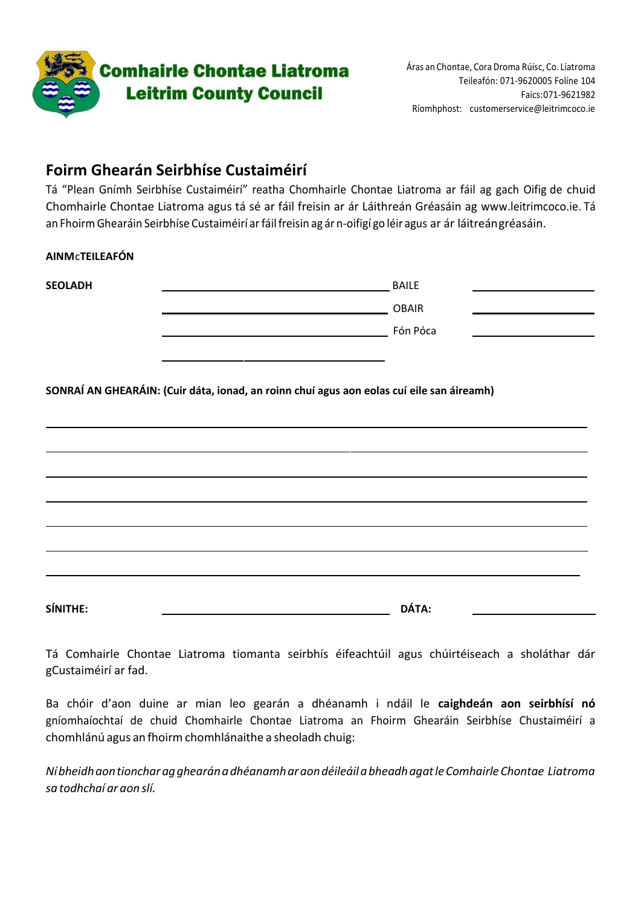

### **Foirm Ghearán Seirbhíse Custaiméirí**

Tá "Plean Gnímh Seirbhíse Custaiméirí" reatha Chomhairle Chontae Liatroma ar fáil ag gach Oifig de chuid Chomhairle Chontae Liatroma agus tá sé ar fáil freisin ar ár Láithreán Gréasáin ag [www.leitrimcoco.ie.](http://www.leitrimcoco.ie/) Tá an FhoirmGhearáin Seirbhíse Custaiméirí arfáilfreisin ag ár n-oifigí go léir agus ar ár láitreángréasáin.

#### **AINM**c**TEILEAFÓN**

| <b>SEOLADH</b>                                                                            |  | <b>BAILE</b> |  |
|-------------------------------------------------------------------------------------------|--|--------------|--|
|                                                                                           |  | <b>OBAIR</b> |  |
|                                                                                           |  | Fón Póca     |  |
|                                                                                           |  |              |  |
| SONRAÍ AN GHEARÁIN: (Cuir dáta, ionad, an roinn chuí agus aon eolas cuí eile san áireamh) |  |              |  |
|                                                                                           |  |              |  |
|                                                                                           |  |              |  |
|                                                                                           |  |              |  |

Tá Comhairle Chontae Liatroma tiomanta seirbhís éifeachtúil agus chúirtéiseach a sholáthar dár gCustaiméirí ar fad.

**SÍNITHE: DÁTA:**

Ba chóir d'aon duine ar mian leo gearán a dhéanamh i ndáil le **caighdeán aon seirbhísí nó**  gníomhaíochtaí de chuid Chomhairle Chontae Liatroma an Fhoirm Ghearáin Seirbhíse Chustaiméirí a chomhlánú agus an fhoirm chomhlánaithe a sheoladh chuig:

*NíbheidhaontioncharagghearánadhéanamharaondéileáilabheadhagatleComhairleChontae Liatroma sa todhchaí ar aon slí.*